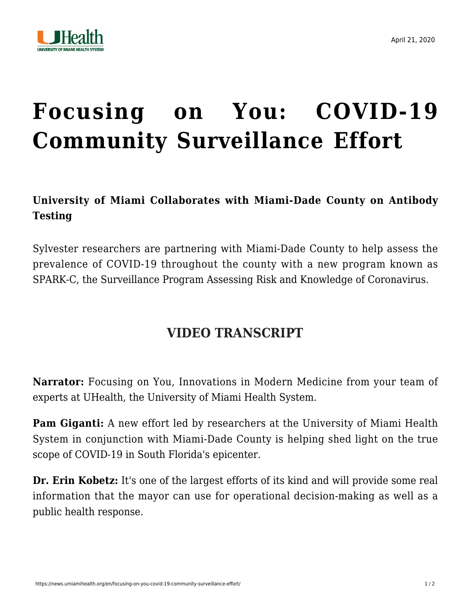

## **[Focusing on You: COVID-19](https://news.umiamihealth.org/en/focusing-on-you-covid-19-community-surveillance-effort/) [Community Surveillance Effort](https://news.umiamihealth.org/en/focusing-on-you-covid-19-community-surveillance-effort/)**

## **University of Miami Collaborates with Miami-Dade County on Antibody Testing**

Sylvester researchers are partnering with Miami-Dade County to help assess the prevalence of COVID-19 throughout the county with a new program known as SPARK-C, the Surveillance Program Assessing Risk and Knowledge of Coronavirus.

## **VIDEO TRANSCRIPT**

**Narrator:** Focusing on You, Innovations in Modern Medicine from your team of experts at UHealth, the University of Miami Health System.

**Pam Giganti:** A new effort led by researchers at the University of Miami Health System in conjunction with Miami-Dade County is helping shed light on the true scope of COVID-19 in South Florida's epicenter.

**Dr. Erin Kobetz:** It's one of the largest efforts of its kind and will provide some real information that the mayor can use for operational decision-making as well as a public health response.